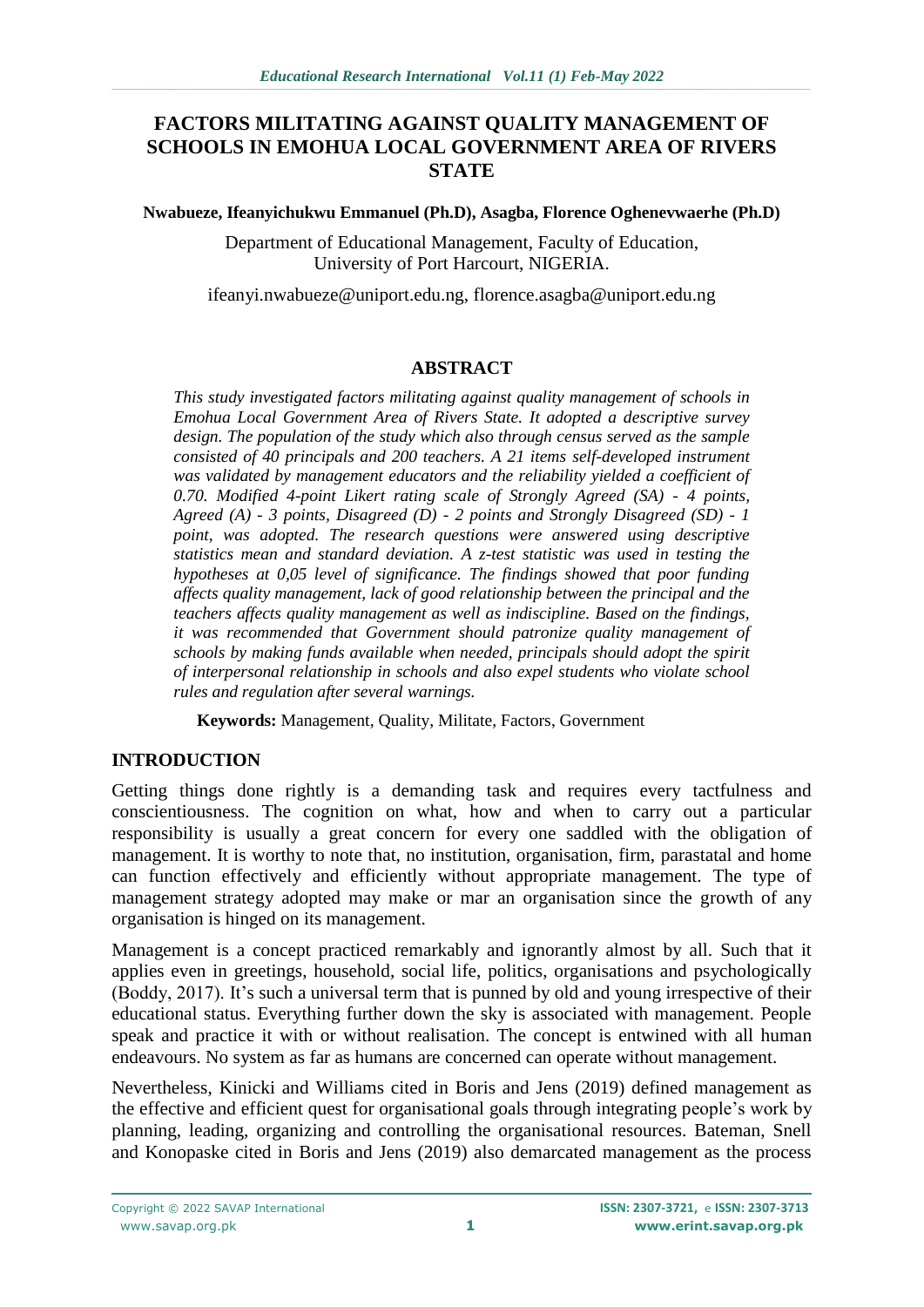## **FACTORS MILITATING AGAINST QUALITY MANAGEMENT OF SCHOOLS IN EMOHUA LOCAL GOVERNMENT AREA OF RIVERS STATE**

#### **Nwabueze, Ifeanyichukwu Emmanuel (Ph.D), Asagba, Florence Oghenevwaerhe (Ph.D)**

Department of Educational Management, Faculty of Education, University of Port Harcourt, NIGERIA.

[ifeanyi.nwabueze@uniport.edu.ng,](mailto:ifeanyi.nwabueze@uniport.edu.ng) [florence.asagba@uniport.edu.ng](mailto:florence.asagba@uniport.edu.ng)

## **ABSTRACT**

*This study investigated factors militating against quality management of schools in Emohua Local Government Area of Rivers State. It adopted a descriptive survey design. The population of the study which also through census served as the sample consisted of 40 principals and 200 teachers. A 21 items self-developed instrument was validated by management educators and the reliability yielded a coefficient of 0.70. Modified 4-point Likert rating scale of Strongly Agreed (SA) - 4 points, Agreed (A) - 3 points, Disagreed (D) - 2 points and Strongly Disagreed (SD) - 1 point, was adopted. The research questions were answered using descriptive statistics mean and standard deviation. A z-test statistic was used in testing the hypotheses at 0,05 level of significance. The findings showed that poor funding affects quality management, lack of good relationship between the principal and the teachers affects quality management as well as indiscipline. Based on the findings, it was recommended that Government should patronize quality management of schools by making funds available when needed, principals should adopt the spirit of interpersonal relationship in schools and also expel students who violate school rules and regulation after several warnings.*

**Keywords:** Management, Quality, Militate, Factors, Government

## **INTRODUCTION**

Getting things done rightly is a demanding task and requires every tactfulness and conscientiousness. The cognition on what, how and when to carry out a particular responsibility is usually a great concern for every one saddled with the obligation of management. It is worthy to note that, no institution, organisation, firm, parastatal and home can function effectively and efficiently without appropriate management. The type of management strategy adopted may make or mar an organisation since the growth of any organisation is hinged on its management.

Management is a concept practiced remarkably and ignorantly almost by all. Such that it applies even in greetings, household, social life, politics, organisations and psychologically (Boddy, 2017). It's such a universal term that is punned by old and young irrespective of their educational status. Everything further down the sky is associated with management. People speak and practice it with or without realisation. The concept is entwined with all human endeavours. No system as far as humans are concerned can operate without management.

Nevertheless, Kinicki and Williams cited in Boris and Jens (2019) defined management as the effective and efficient quest for organisational goals through integrating people's work by planning, leading, organizing and controlling the organisational resources. Bateman, Snell and Konopaske cited in Boris and Jens (2019) also demarcated management as the process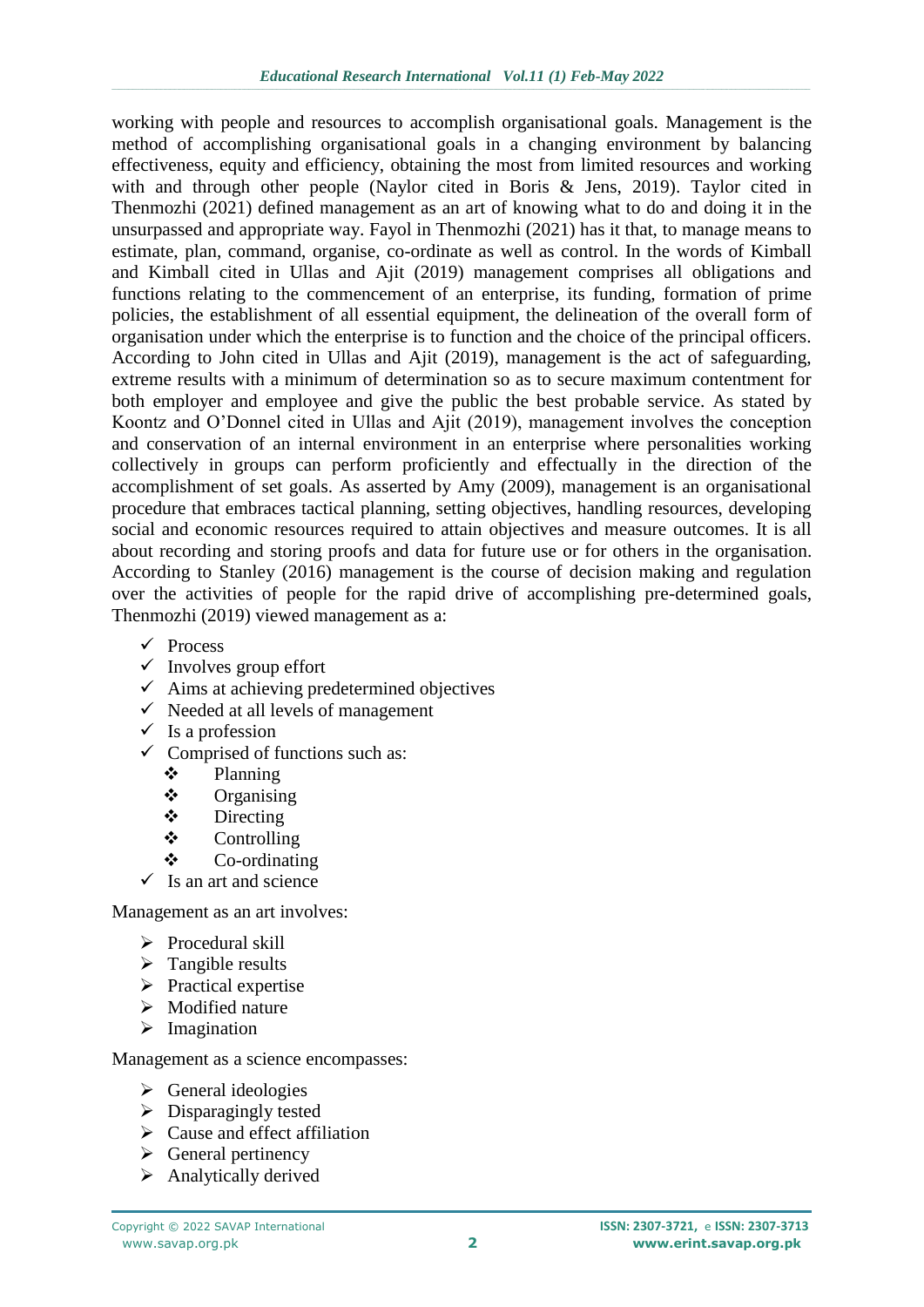working with people and resources to accomplish organisational goals. Management is the method of accomplishing organisational goals in a changing environment by balancing effectiveness, equity and efficiency, obtaining the most from limited resources and working with and through other people (Naylor cited in Boris & Jens, 2019). Taylor cited in Thenmozhi (2021) defined management as an art of knowing what to do and doing it in the unsurpassed and appropriate way. Fayol in Thenmozhi (2021) has it that, to manage means to estimate, plan, command, organise, co-ordinate as well as control. In the words of Kimball and Kimball cited in Ullas and Ajit (2019) management comprises all obligations and functions relating to the commencement of an enterprise, its funding, formation of prime policies, the establishment of all essential equipment, the delineation of the overall form of organisation under which the enterprise is to function and the choice of the principal officers. According to John cited in Ullas and Ajit (2019), management is the act of safeguarding, extreme results with a minimum of determination so as to secure maximum contentment for both employer and employee and give the public the best probable service. As stated by Koontz and O'Donnel cited in Ullas and Ajit (2019), management involves the conception and conservation of an internal environment in an enterprise where personalities working collectively in groups can perform proficiently and effectually in the direction of the accomplishment of set goals. As asserted by Amy (2009), management is an organisational procedure that embraces tactical planning, setting objectives, handling resources, developing social and economic resources required to attain objectives and measure outcomes. It is all about recording and storing proofs and data for future use or for others in the organisation. According to Stanley (2016) management is the course of decision making and regulation over the activities of people for the rapid drive of accomplishing pre-determined goals, Thenmozhi (2019) viewed management as a:

- $\checkmark$  Process
- $\checkmark$  Involves group effort
- $\checkmark$  Aims at achieving predetermined objectives
- $\checkmark$  Needed at all levels of management
- $\checkmark$  Is a profession
- $\checkmark$  Comprised of functions such as:
	- Planning
	- $\diamond$  Organising
	- $\div$  Directing
	- $\triangle$  Controlling
	- Co-ordinating
- $\checkmark$  Is an art and science

Management as an art involves:

- $\triangleright$  Procedural skill
- $\triangleright$  Tangible results
- $\triangleright$  Practical expertise
- $\triangleright$  Modified nature
- $\triangleright$  Imagination

Management as a science encompasses:

- $\triangleright$  General ideologies
- $\triangleright$  Disparagingly tested
- $\triangleright$  Cause and effect affiliation
- $\triangleright$  General pertinency
- $\triangleright$  Analytically derived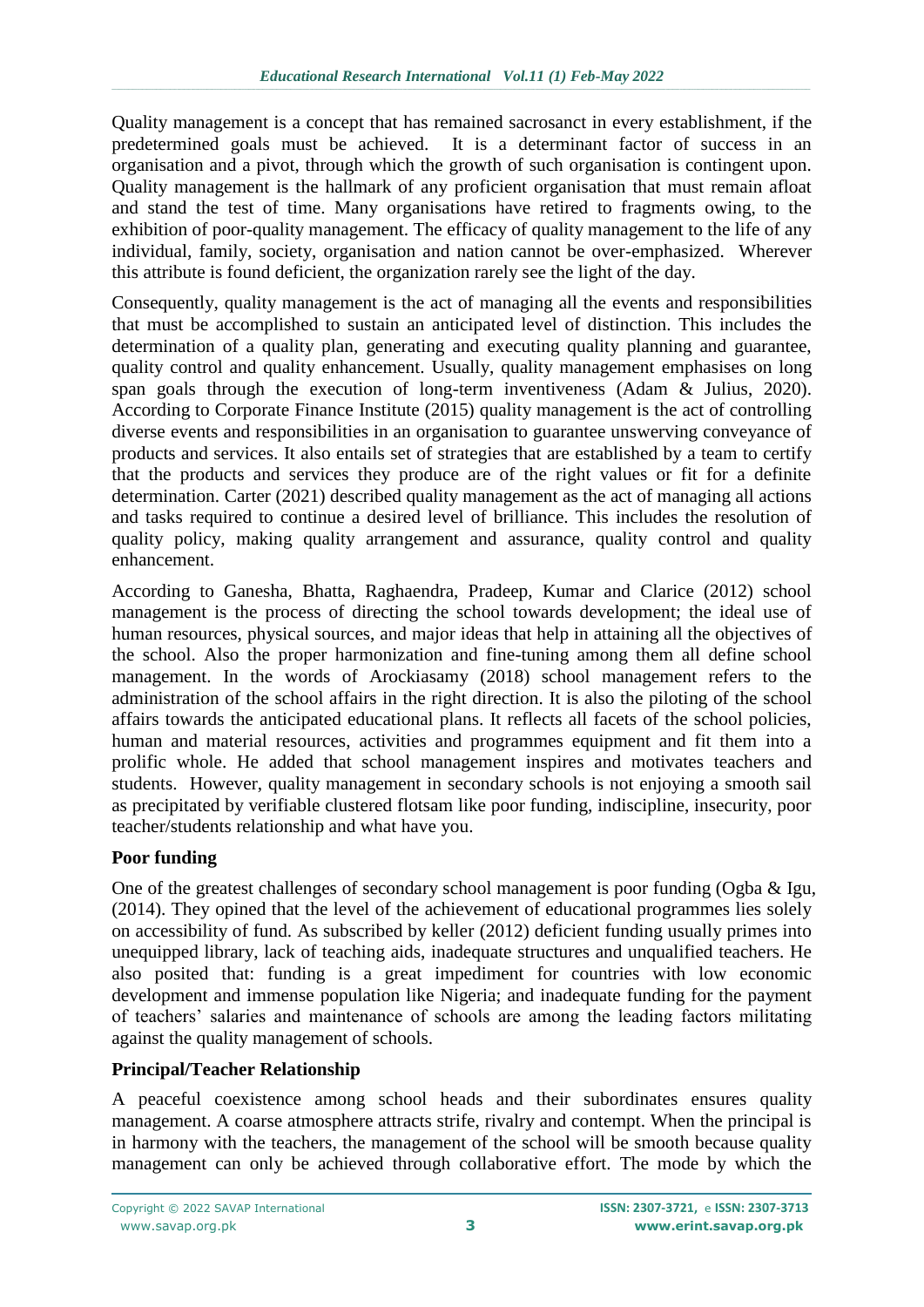Quality management is a concept that has remained sacrosanct in every establishment, if the predetermined goals must be achieved. It is a determinant factor of success in an organisation and a pivot, through which the growth of such organisation is contingent upon. Quality management is the hallmark of any proficient organisation that must remain afloat and stand the test of time. Many organisations have retired to fragments owing, to the exhibition of poor-quality management. The efficacy of quality management to the life of any individual, family, society, organisation and nation cannot be over-emphasized. Wherever this attribute is found deficient, the organization rarely see the light of the day.

Consequently, quality management is the act of managing all the events and responsibilities that must be accomplished to sustain an anticipated level of distinction. This includes the determination of a quality plan, generating and executing quality planning and guarantee, quality control and quality enhancement. Usually, quality management emphasises on long span goals through the execution of long-term inventiveness (Adam & Julius, 2020). According to Corporate Finance Institute (2015) quality management is the act of controlling diverse events and responsibilities in an organisation to guarantee unswerving conveyance of products and services. It also entails set of strategies that are established by a team to certify that the products and services they produce are of the right values or fit for a definite determination. Carter (2021) described quality management as the act of managing all actions and tasks required to continue a desired level of brilliance. This includes the resolution of quality policy, making quality arrangement and assurance, quality control and quality enhancement.

According to Ganesha, Bhatta, Raghaendra, Pradeep, Kumar and Clarice (2012) school management is the process of directing the school towards development; the ideal use of human resources, physical sources, and major ideas that help in attaining all the objectives of the school. Also the proper harmonization and fine-tuning among them all define school management. In the words of Arockiasamy (2018) school management refers to the administration of the school affairs in the right direction. It is also the piloting of the school affairs towards the anticipated educational plans. It reflects all facets of the school policies, human and material resources, activities and programmes equipment and fit them into a prolific whole. He added that school management inspires and motivates teachers and students. However, quality management in secondary schools is not enjoying a smooth sail as precipitated by verifiable clustered flotsam like poor funding, indiscipline, insecurity, poor teacher/students relationship and what have you.

## **Poor funding**

One of the greatest challenges of secondary school management is poor funding (Ogba & Igu, (2014). They opined that the level of the achievement of educational programmes lies solely on accessibility of fund. As subscribed by keller (2012) deficient funding usually primes into unequipped library, lack of teaching aids, inadequate structures and unqualified teachers. He also posited that: funding is a great impediment for countries with low economic development and immense population like Nigeria; and inadequate funding for the payment of teachers' salaries and maintenance of schools are among the leading factors militating against the quality management of schools.

## **Principal/Teacher Relationship**

A peaceful coexistence among school heads and their subordinates ensures quality management. A coarse atmosphere attracts strife, rivalry and contempt. When the principal is in harmony with the teachers, the management of the school will be smooth because quality management can only be achieved through collaborative effort. The mode by which the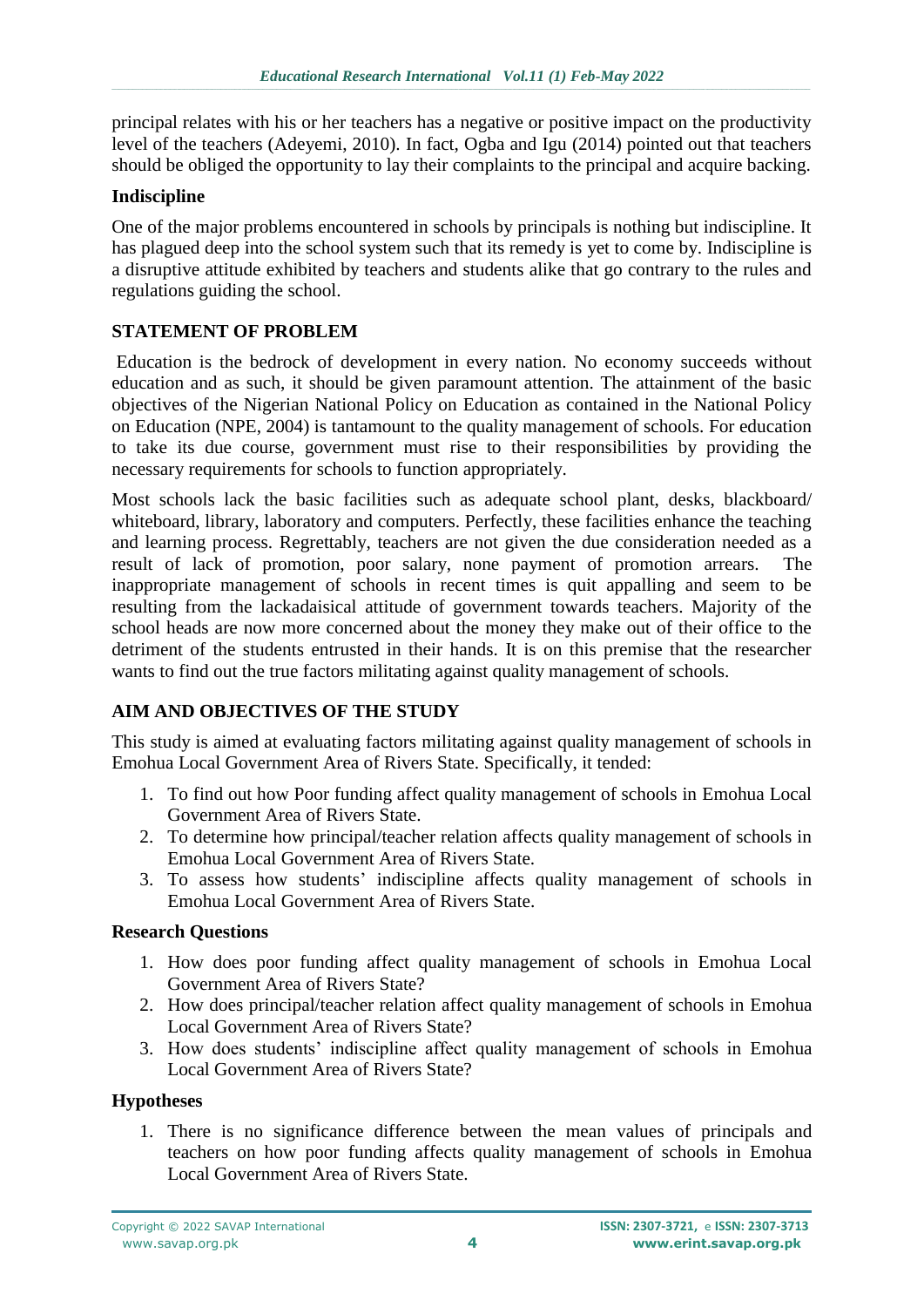principal relates with his or her teachers has a negative or positive impact on the productivity level of the teachers (Adeyemi, 2010). In fact, Ogba and Igu (2014) pointed out that teachers should be obliged the opportunity to lay their complaints to the principal and acquire backing.

#### **Indiscipline**

One of the major problems encountered in schools by principals is nothing but indiscipline. It has plagued deep into the school system such that its remedy is yet to come by. Indiscipline is a disruptive attitude exhibited by teachers and students alike that go contrary to the rules and regulations guiding the school.

#### **STATEMENT OF PROBLEM**

Education is the bedrock of development in every nation. No economy succeeds without education and as such, it should be given paramount attention. The attainment of the basic objectives of the Nigerian National Policy on Education as contained in the National Policy on Education (NPE, 2004) is tantamount to the quality management of schools. For education to take its due course, government must rise to their responsibilities by providing the necessary requirements for schools to function appropriately.

Most schools lack the basic facilities such as adequate school plant, desks, blackboard/ whiteboard, library, laboratory and computers. Perfectly, these facilities enhance the teaching and learning process. Regrettably, teachers are not given the due consideration needed as a result of lack of promotion, poor salary, none payment of promotion arrears. The inappropriate management of schools in recent times is quit appalling and seem to be resulting from the lackadaisical attitude of government towards teachers. Majority of the school heads are now more concerned about the money they make out of their office to the detriment of the students entrusted in their hands. It is on this premise that the researcher wants to find out the true factors militating against quality management of schools.

## **AIM AND OBJECTIVES OF THE STUDY**

This study is aimed at evaluating factors militating against quality management of schools in Emohua Local Government Area of Rivers State. Specifically, it tended:

- 1. To find out how Poor funding affect quality management of schools in Emohua Local Government Area of Rivers State.
- 2. To determine how principal/teacher relation affects quality management of schools in Emohua Local Government Area of Rivers State.
- 3. To assess how students' indiscipline affects quality management of schools in Emohua Local Government Area of Rivers State.

#### **Research Questions**

- 1. How does poor funding affect quality management of schools in Emohua Local Government Area of Rivers State?
- 2. How does principal/teacher relation affect quality management of schools in Emohua Local Government Area of Rivers State?
- 3. How does students' indiscipline affect quality management of schools in Emohua Local Government Area of Rivers State?

#### **Hypotheses**

1. There is no significance difference between the mean values of principals and teachers on how poor funding affects quality management of schools in Emohua Local Government Area of Rivers State.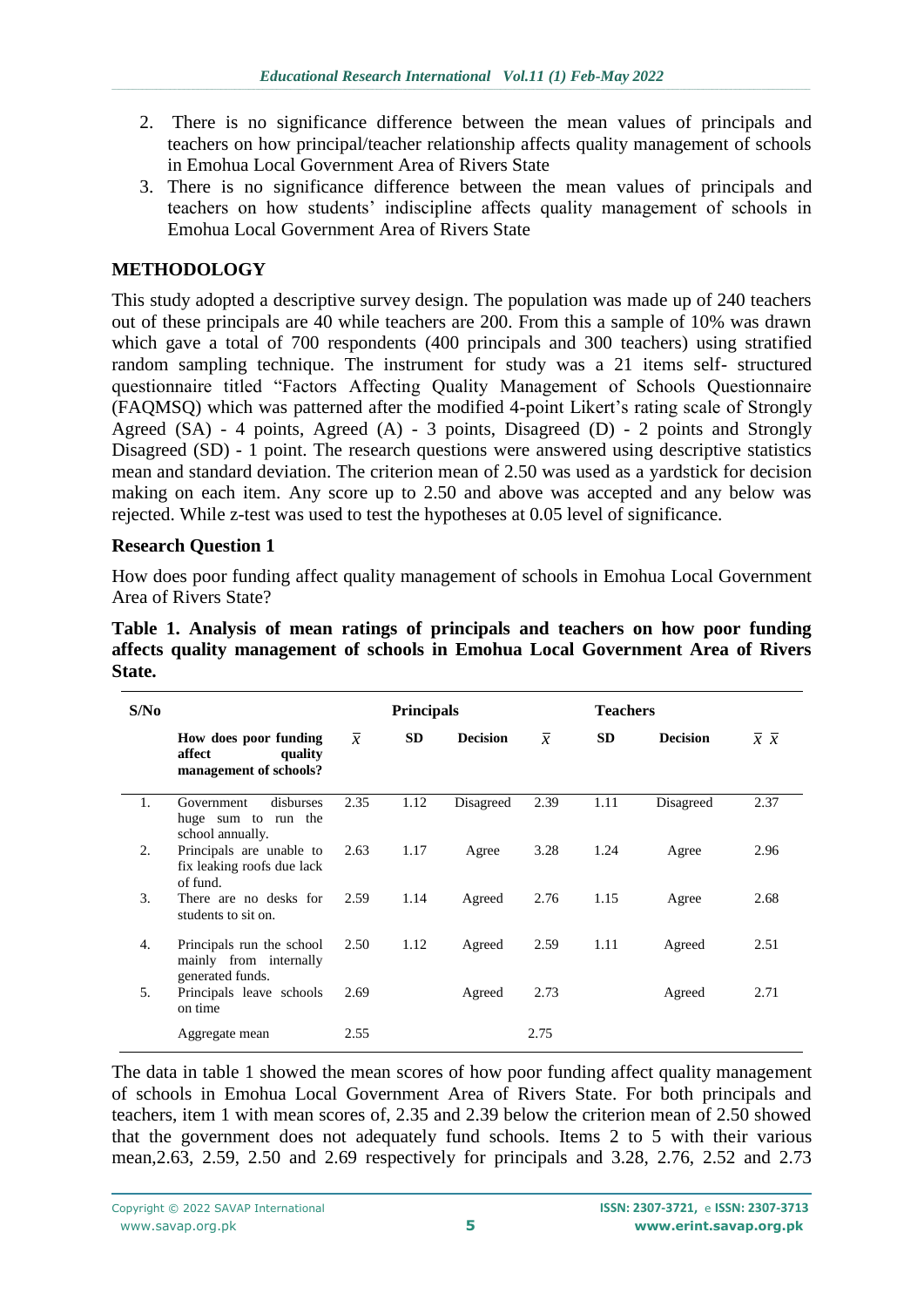- 2. There is no significance difference between the mean values of principals and teachers on how principal/teacher relationship affects quality management of schools in Emohua Local Government Area of Rivers State
- 3. There is no significance difference between the mean values of principals and teachers on how students' indiscipline affects quality management of schools in Emohua Local Government Area of Rivers State

# **METHODOLOGY**

This study adopted a descriptive survey design. The population was made up of 240 teachers out of these principals are 40 while teachers are 200. From this a sample of 10% was drawn which gave a total of 700 respondents (400 principals and 300 teachers) using stratified random sampling technique. The instrument for study was a 21 items self- structured questionnaire titled "Factors Affecting Quality Management of Schools Questionnaire (FAQMSQ) which was patterned after the modified 4-point Likert's rating scale of Strongly Agreed (SA) - 4 points, Agreed (A) - 3 points, Disagreed (D) - 2 points and Strongly Disagreed (SD) - 1 point. The research questions were answered using descriptive statistics mean and standard deviation. The criterion mean of 2.50 was used as a yardstick for decision making on each item. Any score up to 2.50 and above was accepted and any below was rejected. While z-test was used to test the hypotheses at 0.05 level of significance.

### **Research Question 1**

How does poor funding affect quality management of schools in Emohua Local Government Area of Rivers State?

| S/N <sub>0</sub> |                                                                         |                | <b>Principals</b> |                 |                | <b>Teachers</b> |                 |                               |
|------------------|-------------------------------------------------------------------------|----------------|-------------------|-----------------|----------------|-----------------|-----------------|-------------------------------|
|                  | How does poor funding<br>affect<br>quality<br>management of schools?    | $\overline{x}$ | <b>SD</b>         | <b>Decision</b> | $\overline{x}$ | <b>SD</b>       | <b>Decision</b> | $\overline{x} \ \overline{x}$ |
| 1.               | disburses<br>Government<br>huge sum to run the<br>school annually.      | 2.35           | 1.12              | Disagreed       | 2.39           | 1.11            | Disagreed       | 2.37                          |
| 2.               | Principals are unable to<br>fix leaking roofs due lack<br>of fund.      | 2.63           | 1.17              | Agree           | 3.28           | 1.24            | Agree           | 2.96                          |
| 3.               | There are no desks for<br>students to sit on.                           | 2.59           | 1.14              | Agreed          | 2.76           | 1.15            | Agree           | 2.68                          |
| 4.               | Principals run the school<br>mainly from internally<br>generated funds. | 2.50           | 1.12              | Agreed          | 2.59           | 1.11            | Agreed          | 2.51                          |
| 5.               | Principals leave schools<br>on time                                     | 2.69           |                   | Agreed          | 2.73           |                 | Agreed          | 2.71                          |
|                  | Aggregate mean                                                          | 2.55           |                   |                 | 2.75           |                 |                 |                               |

**Table 1. Analysis of mean ratings of principals and teachers on how poor funding affects quality management of schools in Emohua Local Government Area of Rivers State.**

The data in table 1 showed the mean scores of how poor funding affect quality management of schools in Emohua Local Government Area of Rivers State. For both principals and teachers, item 1 with mean scores of, 2.35 and 2.39 below the criterion mean of 2.50 showed that the government does not adequately fund schools. Items 2 to 5 with their various mean,2.63, 2.59, 2.50 and 2.69 respectively for principals and 3.28, 2.76, 2.52 and 2.73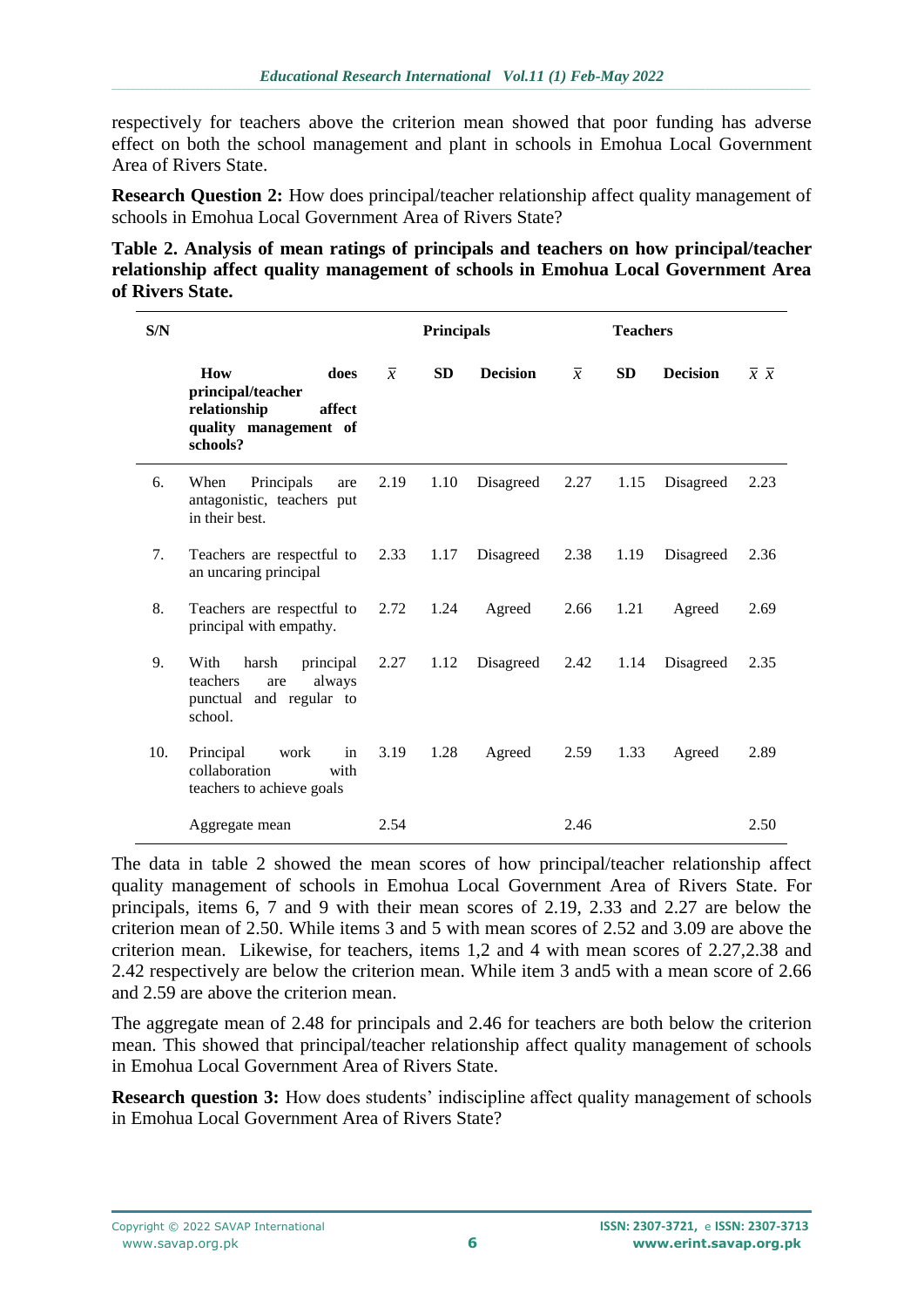respectively for teachers above the criterion mean showed that poor funding has adverse effect on both the school management and plant in schools in Emohua Local Government Area of Rivers State.

**Research Question 2:** How does principal/teacher relationship affect quality management of schools in Emohua Local Government Area of Rivers State?

**Table 2. Analysis of mean ratings of principals and teachers on how principal/teacher relationship affect quality management of schools in Emohua Local Government Area of Rivers State.**

| S/N |                                                                                                 |                | <b>Principals</b> |                 |                | <b>Teachers</b> |                 |                               |
|-----|-------------------------------------------------------------------------------------------------|----------------|-------------------|-----------------|----------------|-----------------|-----------------|-------------------------------|
|     | How<br>does<br>principal/teacher<br>relationship<br>affect<br>quality management of<br>schools? | $\overline{x}$ | <b>SD</b>         | <b>Decision</b> | $\overline{x}$ | <b>SD</b>       | <b>Decision</b> | $\overline{x} \ \overline{x}$ |
| 6.  | Principals<br>When<br>are<br>antagonistic, teachers put<br>in their best.                       | 2.19           | 1.10              | Disagreed       | 2.27           | 1.15            | Disagreed       | 2.23                          |
| 7.  | Teachers are respectful to<br>an uncaring principal                                             | 2.33           | 1.17              | Disagreed       | 2.38           | 1.19            | Disagreed       | 2.36                          |
| 8.  | Teachers are respectful to<br>principal with empathy.                                           | 2.72           | 1.24              | Agreed          | 2.66           | 1.21            | Agreed          | 2.69                          |
| 9.  | With<br>principal<br>harsh<br>always<br>teachers<br>are<br>punctual and regular to<br>school.   | 2.27           | 1.12              | Disagreed       | 2.42           | 1.14            | Disagreed       | 2.35                          |
| 10. | Principal<br>work<br>in<br>collaboration<br>with<br>teachers to achieve goals                   | 3.19           | 1.28              | Agreed          | 2.59           | 1.33            | Agreed          | 2.89                          |
|     | Aggregate mean                                                                                  | 2.54           |                   |                 | 2.46           |                 |                 | 2.50                          |

The data in table 2 showed the mean scores of how principal/teacher relationship affect quality management of schools in Emohua Local Government Area of Rivers State. For principals, items 6, 7 and 9 with their mean scores of 2.19, 2.33 and 2.27 are below the criterion mean of 2.50. While items 3 and 5 with mean scores of 2.52 and 3.09 are above the criterion mean. Likewise, for teachers, items 1,2 and 4 with mean scores of 2.27,2.38 and 2.42 respectively are below the criterion mean. While item 3 and5 with a mean score of 2.66 and 2.59 are above the criterion mean.

The aggregate mean of 2.48 for principals and 2.46 for teachers are both below the criterion mean. This showed that principal/teacher relationship affect quality management of schools in Emohua Local Government Area of Rivers State.

**Research question 3:** How does students' indiscipline affect quality management of schools in Emohua Local Government Area of Rivers State?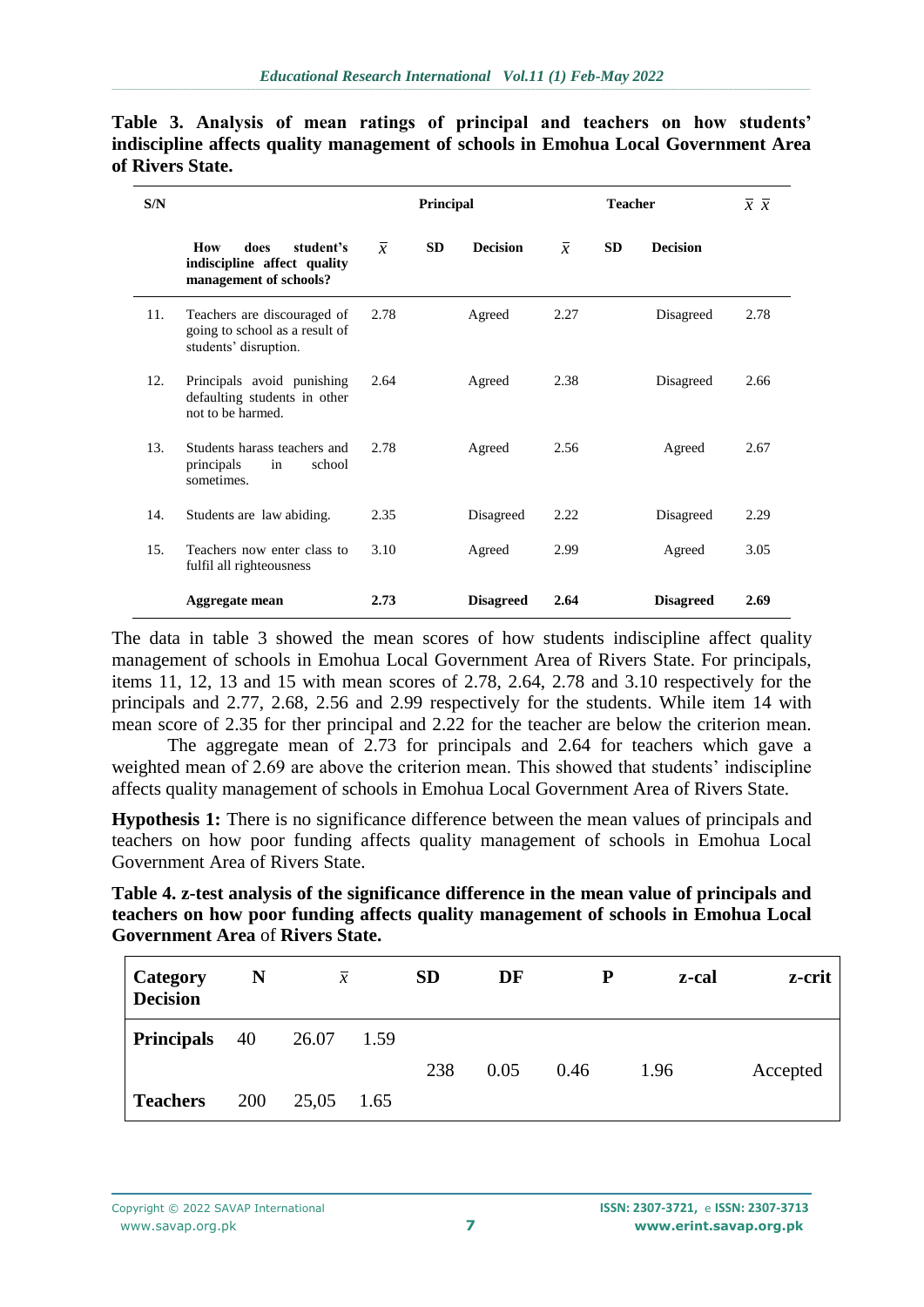| S/N |                                                                                        |                | <b>Principal</b> |                  |                | $\overline{x}$ $\overline{x}$ |                  |      |
|-----|----------------------------------------------------------------------------------------|----------------|------------------|------------------|----------------|-------------------------------|------------------|------|
|     | student's<br>How<br>does<br>indiscipline affect quality<br>management of schools?      | $\overline{x}$ | <b>SD</b>        | <b>Decision</b>  | $\overline{x}$ | <b>SD</b>                     | <b>Decision</b>  |      |
| 11. | Teachers are discouraged of<br>going to school as a result of<br>students' disruption. | 2.78           |                  | Agreed           | 2.27           |                               | Disagreed        | 2.78 |
| 12. | Principals avoid punishing<br>defaulting students in other<br>not to be harmed.        | 2.64           |                  | Agreed           | 2.38           |                               | Disagreed        | 2.66 |
| 13. | Students harass teachers and<br>principals<br>school<br>in<br>sometimes.               | 2.78           |                  | Agreed           | 2.56           |                               | Agreed           | 2.67 |
| 14. | Students are law abiding.                                                              | 2.35           |                  | Disagreed        | 2.22           |                               | Disagreed        | 2.29 |
| 15. | Teachers now enter class to<br>fulfil all righteousness                                | 3.10           |                  | Agreed           | 2.99           |                               | Agreed           | 3.05 |
|     | Aggregate mean                                                                         | 2.73           |                  | <b>Disagreed</b> | 2.64           |                               | <b>Disagreed</b> | 2.69 |

**Table 3. Analysis of mean ratings of principal and teachers on how students' indiscipline affects quality management of schools in Emohua Local Government Area of Rivers State.**

The data in table 3 showed the mean scores of how students indiscipline affect quality management of schools in Emohua Local Government Area of Rivers State. For principals, items 11, 12, 13 and 15 with mean scores of 2.78, 2.64, 2.78 and 3.10 respectively for the principals and 2.77, 2.68, 2.56 and 2.99 respectively for the students. While item 14 with mean score of 2.35 for ther principal and 2.22 for the teacher are below the criterion mean.

The aggregate mean of 2.73 for principals and 2.64 for teachers which gave a weighted mean of 2.69 are above the criterion mean. This showed that students' indiscipline affects quality management of schools in Emohua Local Government Area of Rivers State.

**Hypothesis 1:** There is no significance difference between the mean values of principals and teachers on how poor funding affects quality management of schools in Emohua Local Government Area of Rivers State.

| Table 4. z-test analysis of the significance difference in the mean value of principals and |
|---------------------------------------------------------------------------------------------|
| teachers on how poor funding affects quality management of schools in Emohua Local          |
| <b>Government Area of Rivers State.</b>                                                     |

| Category<br><b>Decision</b> | N          | $\overline{x}$ |      | <b>SD</b> | DF   | P    | z-cal | z-crit   |
|-----------------------------|------------|----------------|------|-----------|------|------|-------|----------|
| <b>Principals</b>           | 40         | 26.07          | 1.59 |           |      |      |       |          |
|                             |            |                |      | 238       | 0.05 | 0.46 | 1.96  | Accepted |
| <b>Teachers</b>             | <b>200</b> | 25,05          | 1.65 |           |      |      |       |          |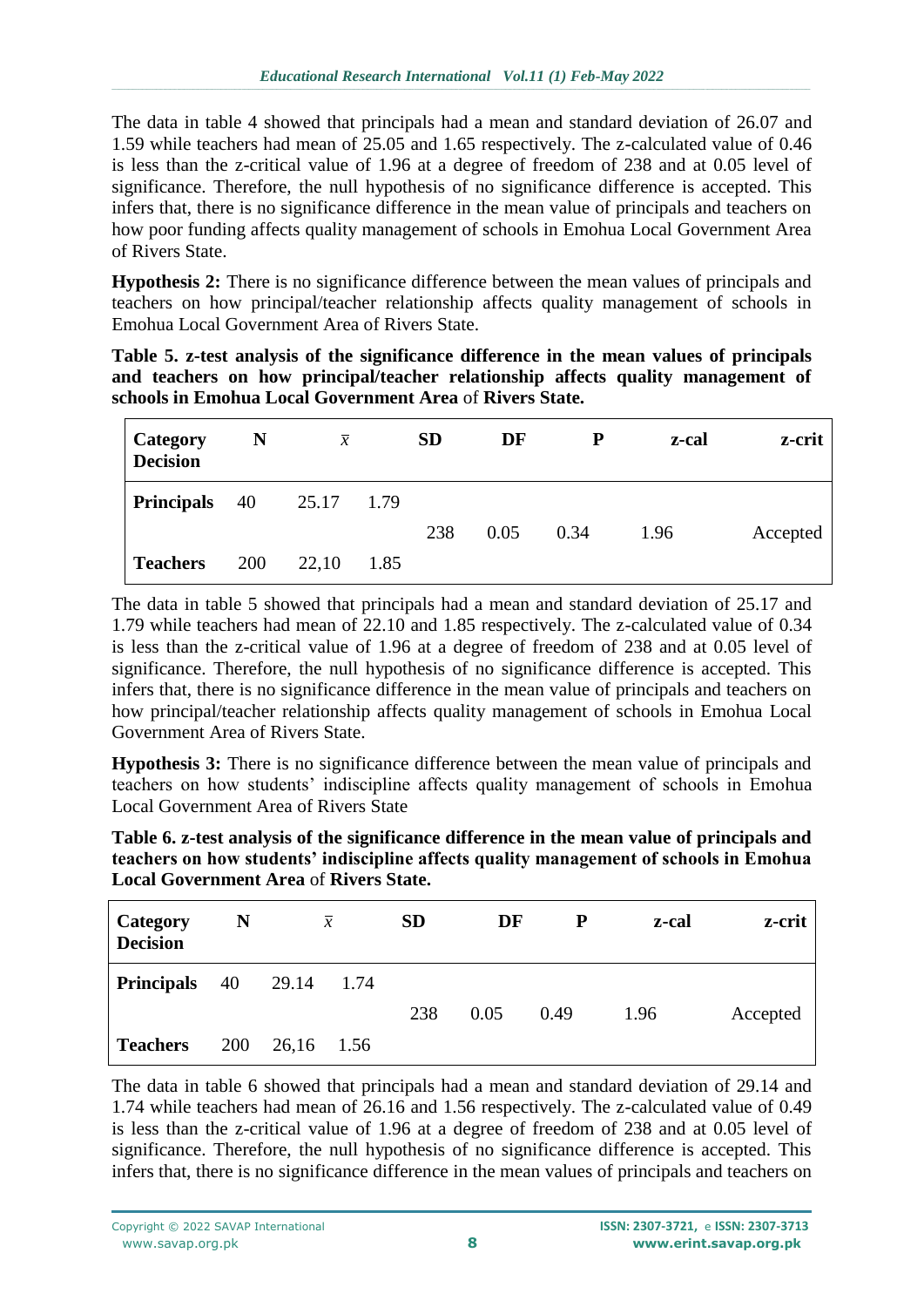The data in table 4 showed that principals had a mean and standard deviation of 26.07 and 1.59 while teachers had mean of 25.05 and 1.65 respectively. The z-calculated value of 0.46 is less than the z-critical value of 1.96 at a degree of freedom of 238 and at 0.05 level of significance. Therefore, the null hypothesis of no significance difference is accepted. This infers that, there is no significance difference in the mean value of principals and teachers on how poor funding affects quality management of schools in Emohua Local Government Area of Rivers State.

**Hypothesis 2:** There is no significance difference between the mean values of principals and teachers on how principal/teacher relationship affects quality management of schools in Emohua Local Government Area of Rivers State.

|                                                          |  |  |  |  |  | Table 5. z-test analysis of the significance difference in the mean values of principals |  |  |  |  |
|----------------------------------------------------------|--|--|--|--|--|------------------------------------------------------------------------------------------|--|--|--|--|
|                                                          |  |  |  |  |  | and teachers on how principal/teacher relationship affects quality management of         |  |  |  |  |
| schools in Emohua Local Government Area of Rivers State. |  |  |  |  |  |                                                                                          |  |  |  |  |

| Category<br><b>Decision</b> | N          | $\overline{x}$ |      | <b>SD</b><br>DF |      | P    | z-cal | z-crit   |
|-----------------------------|------------|----------------|------|-----------------|------|------|-------|----------|
| <b>Principals</b>           | 40         | 25.17          | 1.79 |                 |      |      |       |          |
|                             |            |                |      | 238             | 0.05 | 0.34 | 1.96  | Accepted |
| <b>Teachers</b>             | <b>200</b> | 22,10          | 1.85 |                 |      |      |       |          |

The data in table 5 showed that principals had a mean and standard deviation of 25.17 and 1.79 while teachers had mean of 22.10 and 1.85 respectively. The z-calculated value of 0.34 is less than the z-critical value of 1.96 at a degree of freedom of 238 and at 0.05 level of significance. Therefore, the null hypothesis of no significance difference is accepted. This infers that, there is no significance difference in the mean value of principals and teachers on how principal/teacher relationship affects quality management of schools in Emohua Local Government Area of Rivers State.

**Hypothesis 3:** There is no significance difference between the mean value of principals and teachers on how students' indiscipline affects quality management of schools in Emohua Local Government Area of Rivers State

| Table 6. z-test analysis of the significance difference in the mean value of principals and |
|---------------------------------------------------------------------------------------------|
| teachers on how students' indiscipline affects quality management of schools in Emohua      |
| <b>Local Government Area of Rivers State.</b>                                               |

| <b>Category</b><br><b>Decision</b> | N   |       | $\overline{x}$ | <b>SD</b> | DF   | P    | z-cal | z-crit   |
|------------------------------------|-----|-------|----------------|-----------|------|------|-------|----------|
| <b>Principals</b>                  | 40  | 29.14 | 1.74           |           |      |      |       |          |
|                                    |     |       |                | 238       | 0.05 | 0.49 | 1.96  | Accepted |
| <b>Teachers</b>                    | 200 | 26,16 | 1.56           |           |      |      |       |          |

The data in table 6 showed that principals had a mean and standard deviation of 29.14 and 1.74 while teachers had mean of 26.16 and 1.56 respectively. The z-calculated value of 0.49 is less than the z-critical value of 1.96 at a degree of freedom of 238 and at 0.05 level of significance. Therefore, the null hypothesis of no significance difference is accepted. This infers that, there is no significance difference in the mean values of principals and teachers on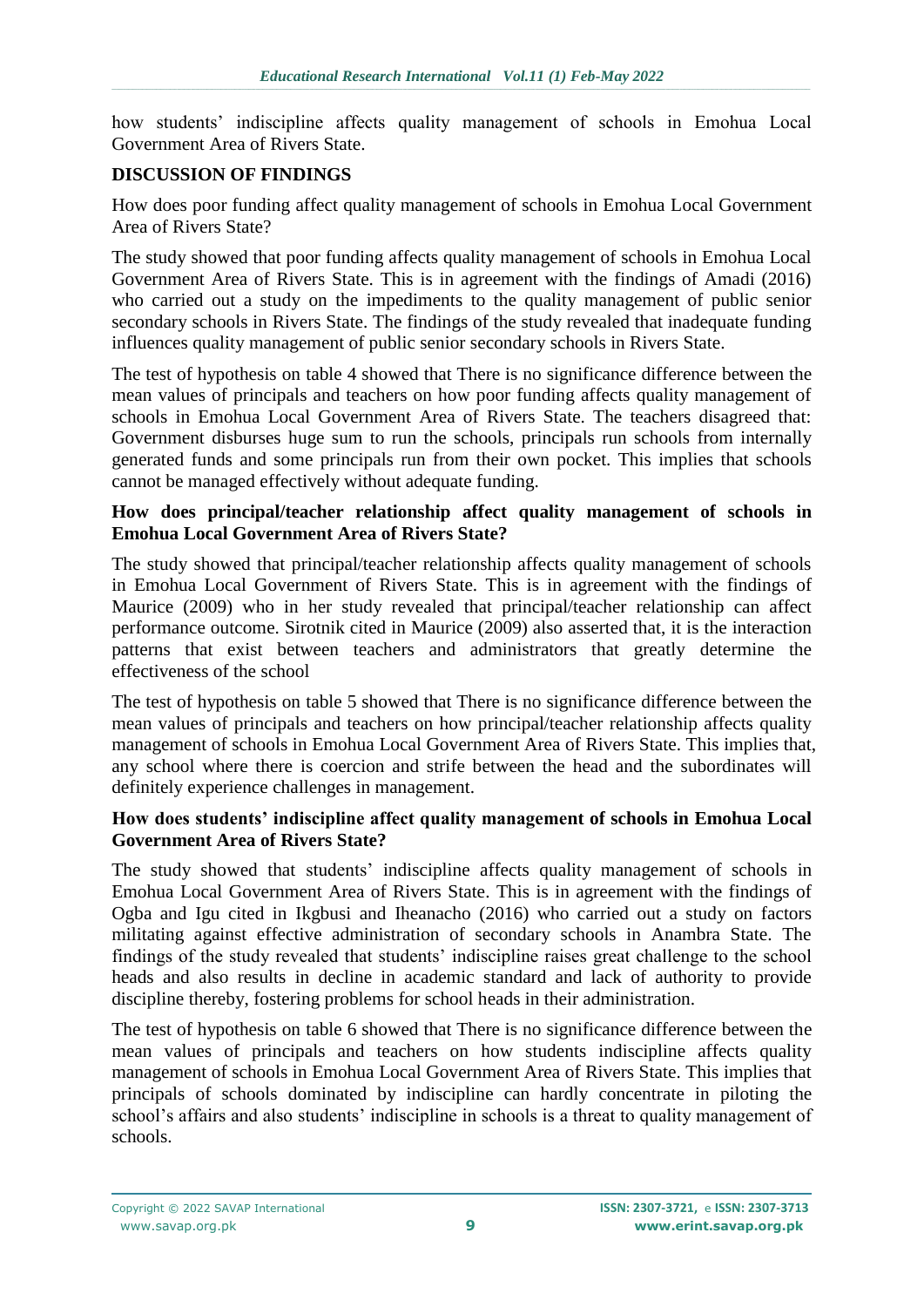how students' indiscipline affects quality management of schools in Emohua Local Government Area of Rivers State.

#### **DISCUSSION OF FINDINGS**

How does poor funding affect quality management of schools in Emohua Local Government Area of Rivers State?

The study showed that poor funding affects quality management of schools in Emohua Local Government Area of Rivers State. This is in agreement with the findings of Amadi (2016) who carried out a study on the impediments to the quality management of public senior secondary schools in Rivers State. The findings of the study revealed that inadequate funding influences quality management of public senior secondary schools in Rivers State.

The test of hypothesis on table 4 showed that There is no significance difference between the mean values of principals and teachers on how poor funding affects quality management of schools in Emohua Local Government Area of Rivers State. The teachers disagreed that: Government disburses huge sum to run the schools, principals run schools from internally generated funds and some principals run from their own pocket. This implies that schools cannot be managed effectively without adequate funding.

#### **How does principal/teacher relationship affect quality management of schools in Emohua Local Government Area of Rivers State?**

The study showed that principal/teacher relationship affects quality management of schools in Emohua Local Government of Rivers State. This is in agreement with the findings of Maurice (2009) who in her study revealed that principal/teacher relationship can affect performance outcome. Sirotnik cited in Maurice (2009) also asserted that, it is the interaction patterns that exist between teachers and administrators that greatly determine the effectiveness of the school

The test of hypothesis on table 5 showed that There is no significance difference between the mean values of principals and teachers on how principal/teacher relationship affects quality management of schools in Emohua Local Government Area of Rivers State. This implies that, any school where there is coercion and strife between the head and the subordinates will definitely experience challenges in management.

#### **How does students' indiscipline affect quality management of schools in Emohua Local Government Area of Rivers State?**

The study showed that students' indiscipline affects quality management of schools in Emohua Local Government Area of Rivers State. This is in agreement with the findings of Ogba and Igu cited in Ikgbusi and Iheanacho (2016) who carried out a study on factors militating against effective administration of secondary schools in Anambra State. The findings of the study revealed that students' indiscipline raises great challenge to the school heads and also results in decline in academic standard and lack of authority to provide discipline thereby, fostering problems for school heads in their administration.

The test of hypothesis on table 6 showed that There is no significance difference between the mean values of principals and teachers on how students indiscipline affects quality management of schools in Emohua Local Government Area of Rivers State. This implies that principals of schools dominated by indiscipline can hardly concentrate in piloting the school's affairs and also students' indiscipline in schools is a threat to quality management of schools.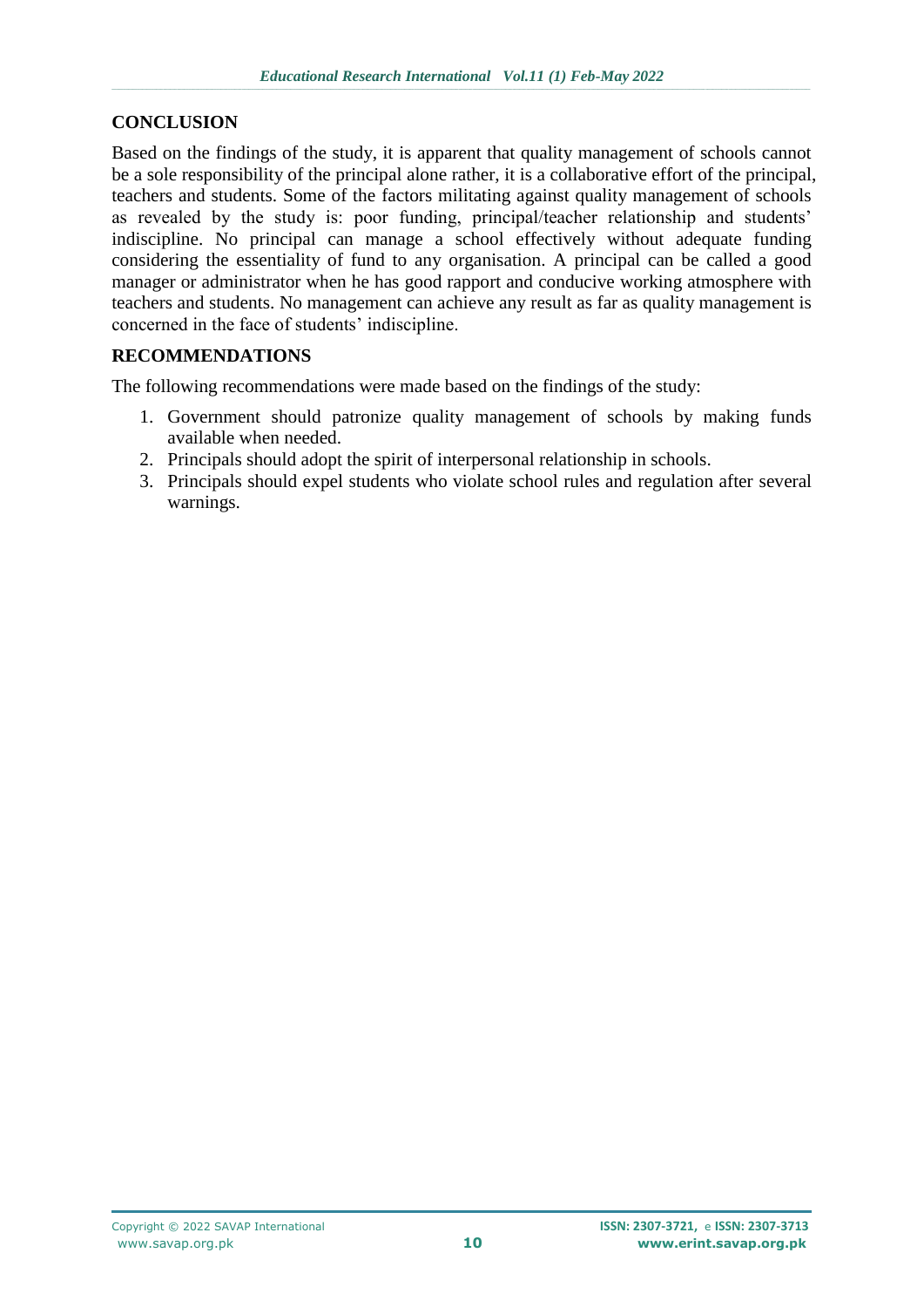### **CONCLUSION**

Based on the findings of the study, it is apparent that quality management of schools cannot be a sole responsibility of the principal alone rather, it is a collaborative effort of the principal, teachers and students. Some of the factors militating against quality management of schools as revealed by the study is: poor funding, principal/teacher relationship and students' indiscipline. No principal can manage a school effectively without adequate funding considering the essentiality of fund to any organisation. A principal can be called a good manager or administrator when he has good rapport and conducive working atmosphere with teachers and students. No management can achieve any result as far as quality management is concerned in the face of students' indiscipline.

## **RECOMMENDATIONS**

The following recommendations were made based on the findings of the study:

- 1. Government should patronize quality management of schools by making funds available when needed.
- 2. Principals should adopt the spirit of interpersonal relationship in schools.
- 3. Principals should expel students who violate school rules and regulation after several warnings.